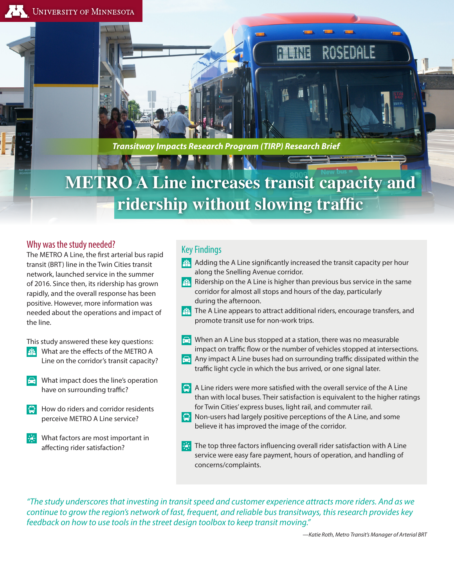RAS DA E

*Transitway Impacts Research Program (TIRP) Research Brief*

# **METRO A Line increases transit capacity and ridership without slowing traffic**

## Why was the study needed?

The METRO A Line, the first arterial bus rapid transit (BRT) line in the Twin Cities transit network, launched service in the summer of 2016. Since then, its ridership has grown rapidly, and the overall response has been positive. However, more information was needed about the operations and impact of the line.

- This study answered these key questions:
- **EXPLEM** What are the effects of the METRO A Line on the corridor's transit capacity?
- $\left| \cdot \right|$  What impact does the line's operation have on surrounding traffic?
- $\Box$  How do riders and corridor residents perceive METRO A Line service?
- What factors are most important in affecting rider satisfaction?

## Key Findings

- $\beta$ . Adding the A Line significantly increased the transit capacity per hour along the Snelling Avenue corridor.
- $\mathbb{R}^3$  Ridership on the A Line is higher than previous bus service in the same corridor for almost all stops and hours of the day, particularly during the afternoon.
- $\mathbb{R}^3$  The A Line appears to attract additional riders, encourage transfers, and promote transit use for non-work trips.
- When an A Line bus stopped at a station, there was no measurable impact on traffic flow or the number of vehicles stopped at intersections.
- Any impact A Line buses had on surrounding traffic dissipated within the traffic light cycle in which the bus arrived, or one signal later.
- $\Box$  A Line riders were more satisfied with the overall service of the A Line than with local buses. Their satisfaction is equivalent to the higher ratings for Twin Cities' express buses, light rail, and commuter rail.
- $\Box$  Non-users had largely positive perceptions of the A Line, and some believe it has improved the image of the corridor.
- **The top three factors influencing overall rider satisfaction with A Line** service were easy fare payment, hours of operation, and handling of concerns/complaints.

*"The study underscores that investing in transit speed and customer experience attracts more riders. And as we continue to grow the region's network of fast, frequent, and reliable bus transitways, this research provides key feedback on how to use tools in the street design toolbox to keep transit moving."*

*—Katie Roth, Metro Transit's Manager of Arterial BRT*